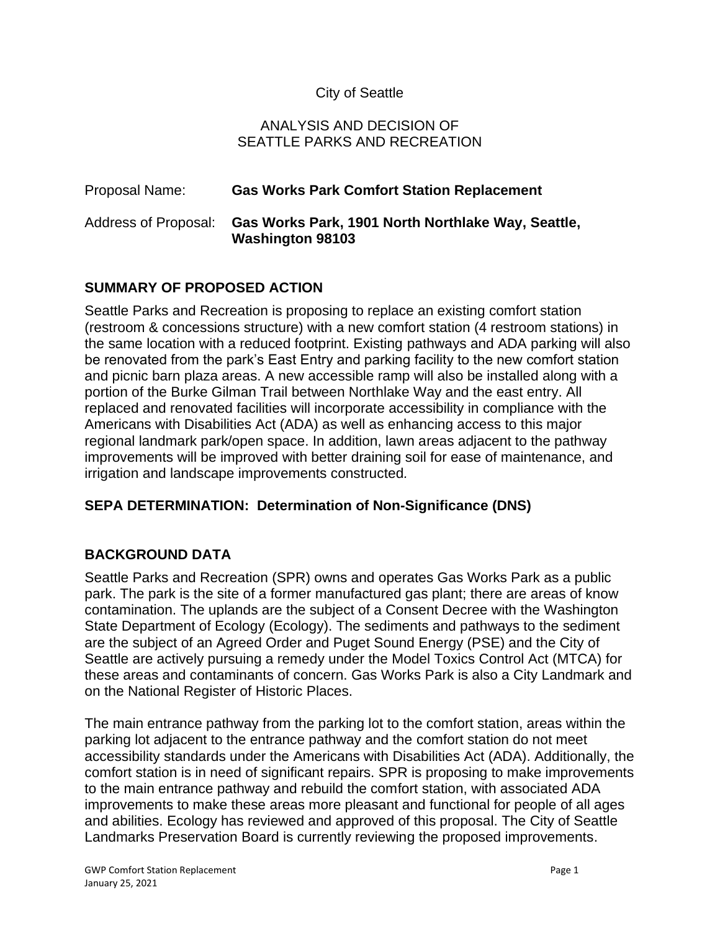## City of Seattle

#### ANALYSIS AND DECISION OF SEATTLE PARKS AND RECREATION

# Proposal Name: **Gas Works Park Comfort Station Replacement** Address of Proposal: **Gas Works Park, 1901 North Northlake Way, Seattle, Washington 98103**

# **SUMMARY OF PROPOSED ACTION**

Seattle Parks and Recreation is proposing to replace an existing comfort station (restroom & concessions structure) with a new comfort station (4 restroom stations) in the same location with a reduced footprint. Existing pathways and ADA parking will also be renovated from the park's East Entry and parking facility to the new comfort station and picnic barn plaza areas. A new accessible ramp will also be installed along with a portion of the Burke Gilman Trail between Northlake Way and the east entry. All replaced and renovated facilities will incorporate accessibility in compliance with the Americans with Disabilities Act (ADA) as well as enhancing access to this major regional landmark park/open space. In addition, lawn areas adjacent to the pathway improvements will be improved with better draining soil for ease of maintenance, and irrigation and landscape improvements constructed*.*

## **SEPA DETERMINATION: Determination of Non-Significance (DNS)**

## **BACKGROUND DATA**

Seattle Parks and Recreation (SPR) owns and operates Gas Works Park as a public park. The park is the site of a former manufactured gas plant; there are areas of know contamination. The uplands are the subject of a Consent Decree with the Washington State Department of Ecology (Ecology). The sediments and pathways to the sediment are the subject of an Agreed Order and Puget Sound Energy (PSE) and the City of Seattle are actively pursuing a remedy under the Model Toxics Control Act (MTCA) for these areas and contaminants of concern. Gas Works Park is also a City Landmark and on the National Register of Historic Places.

The main entrance pathway from the parking lot to the comfort station, areas within the parking lot adjacent to the entrance pathway and the comfort station do not meet accessibility standards under the Americans with Disabilities Act (ADA). Additionally, the comfort station is in need of significant repairs. SPR is proposing to make improvements to the main entrance pathway and rebuild the comfort station, with associated ADA improvements to make these areas more pleasant and functional for people of all ages and abilities. Ecology has reviewed and approved of this proposal. The City of Seattle Landmarks Preservation Board is currently reviewing the proposed improvements.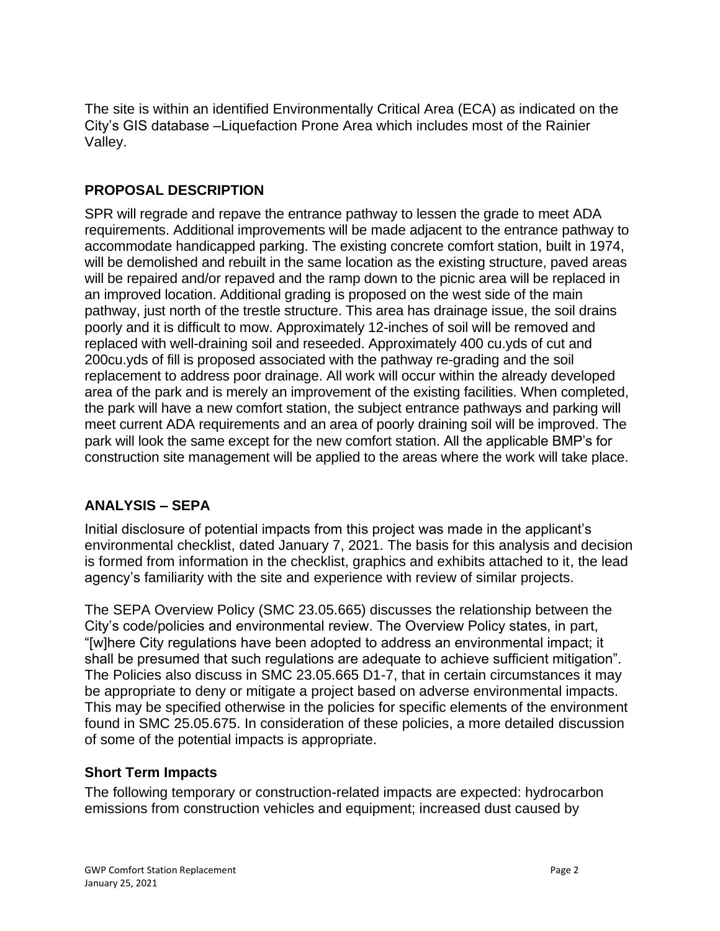The site is within an identified Environmentally Critical Area (ECA) as indicated on the City's GIS database –Liquefaction Prone Area which includes most of the Rainier Valley.

## **PROPOSAL DESCRIPTION**

SPR will regrade and repave the entrance pathway to lessen the grade to meet ADA requirements. Additional improvements will be made adjacent to the entrance pathway to accommodate handicapped parking. The existing concrete comfort station, built in 1974, will be demolished and rebuilt in the same location as the existing structure, paved areas will be repaired and/or repaved and the ramp down to the picnic area will be replaced in an improved location. Additional grading is proposed on the west side of the main pathway, just north of the trestle structure. This area has drainage issue, the soil drains poorly and it is difficult to mow. Approximately 12-inches of soil will be removed and replaced with well-draining soil and reseeded. Approximately 400 cu.yds of cut and 200cu.yds of fill is proposed associated with the pathway re-grading and the soil replacement to address poor drainage. All work will occur within the already developed area of the park and is merely an improvement of the existing facilities. When completed, the park will have a new comfort station, the subject entrance pathways and parking will meet current ADA requirements and an area of poorly draining soil will be improved. The park will look the same except for the new comfort station. All the applicable BMP's for construction site management will be applied to the areas where the work will take place.

# **ANALYSIS – SEPA**

Initial disclosure of potential impacts from this project was made in the applicant's environmental checklist, dated January 7, 2021. The basis for this analysis and decision is formed from information in the checklist, graphics and exhibits attached to it, the lead agency's familiarity with the site and experience with review of similar projects.

The SEPA Overview Policy (SMC 23.05.665) discusses the relationship between the City's code/policies and environmental review. The Overview Policy states, in part, "[w]here City regulations have been adopted to address an environmental impact; it shall be presumed that such regulations are adequate to achieve sufficient mitigation". The Policies also discuss in SMC 23.05.665 D1-7, that in certain circumstances it may be appropriate to deny or mitigate a project based on adverse environmental impacts. This may be specified otherwise in the policies for specific elements of the environment found in SMC 25.05.675. In consideration of these policies, a more detailed discussion of some of the potential impacts is appropriate.

# **Short Term Impacts**

The following temporary or construction-related impacts are expected: hydrocarbon emissions from construction vehicles and equipment; increased dust caused by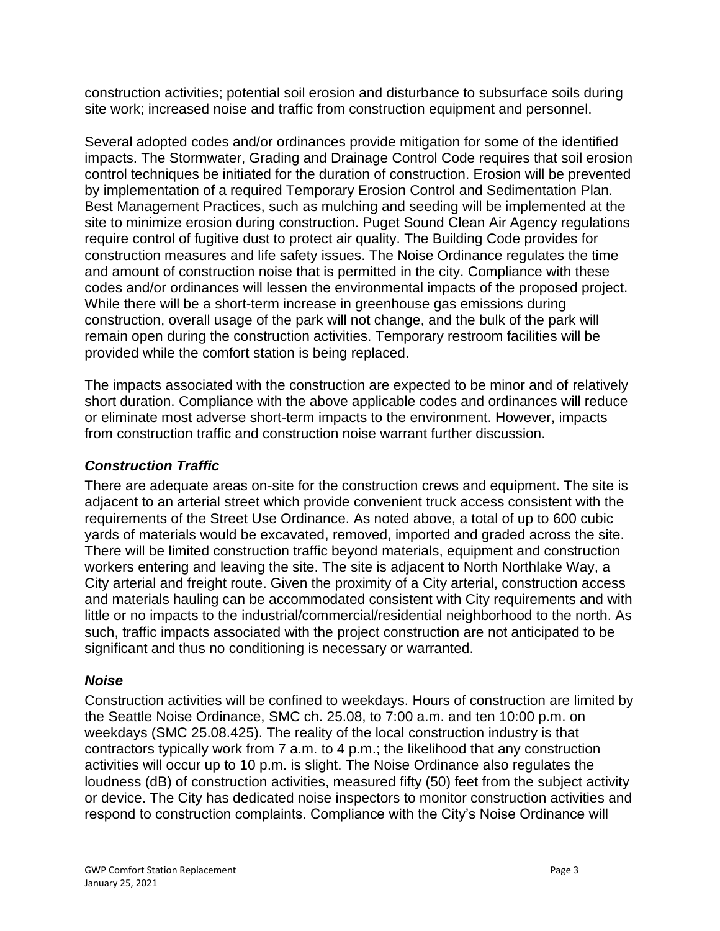construction activities; potential soil erosion and disturbance to subsurface soils during site work; increased noise and traffic from construction equipment and personnel.

Several adopted codes and/or ordinances provide mitigation for some of the identified impacts. The Stormwater, Grading and Drainage Control Code requires that soil erosion control techniques be initiated for the duration of construction. Erosion will be prevented by implementation of a required Temporary Erosion Control and Sedimentation Plan. Best Management Practices, such as mulching and seeding will be implemented at the site to minimize erosion during construction. Puget Sound Clean Air Agency regulations require control of fugitive dust to protect air quality. The Building Code provides for construction measures and life safety issues. The Noise Ordinance regulates the time and amount of construction noise that is permitted in the city. Compliance with these codes and/or ordinances will lessen the environmental impacts of the proposed project. While there will be a short-term increase in greenhouse gas emissions during construction, overall usage of the park will not change, and the bulk of the park will remain open during the construction activities. Temporary restroom facilities will be provided while the comfort station is being replaced.

The impacts associated with the construction are expected to be minor and of relatively short duration. Compliance with the above applicable codes and ordinances will reduce or eliminate most adverse short-term impacts to the environment. However, impacts from construction traffic and construction noise warrant further discussion.

## *Construction Traffic*

There are adequate areas on-site for the construction crews and equipment. The site is adjacent to an arterial street which provide convenient truck access consistent with the requirements of the Street Use Ordinance. As noted above, a total of up to 600 cubic yards of materials would be excavated, removed, imported and graded across the site. There will be limited construction traffic beyond materials, equipment and construction workers entering and leaving the site. The site is adjacent to North Northlake Way, a City arterial and freight route. Given the proximity of a City arterial, construction access and materials hauling can be accommodated consistent with City requirements and with little or no impacts to the industrial/commercial/residential neighborhood to the north. As such, traffic impacts associated with the project construction are not anticipated to be significant and thus no conditioning is necessary or warranted.

## *Noise*

Construction activities will be confined to weekdays. Hours of construction are limited by the Seattle Noise Ordinance, SMC ch. 25.08, to 7:00 a.m. and ten 10:00 p.m. on weekdays (SMC 25.08.425). The reality of the local construction industry is that contractors typically work from 7 a.m. to 4 p.m.; the likelihood that any construction activities will occur up to 10 p.m. is slight. The Noise Ordinance also regulates the loudness (dB) of construction activities, measured fifty (50) feet from the subject activity or device. The City has dedicated noise inspectors to monitor construction activities and respond to construction complaints. Compliance with the City's Noise Ordinance will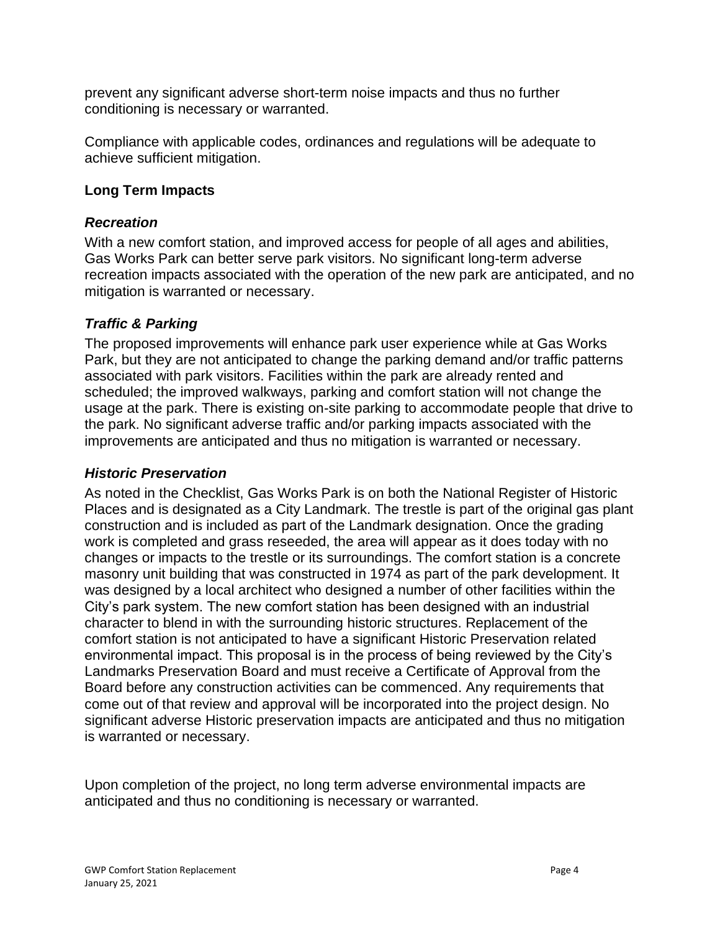prevent any significant adverse short-term noise impacts and thus no further conditioning is necessary or warranted.

Compliance with applicable codes, ordinances and regulations will be adequate to achieve sufficient mitigation.

#### **Long Term Impacts**

#### *Recreation*

With a new comfort station, and improved access for people of all ages and abilities, Gas Works Park can better serve park visitors. No significant long-term adverse recreation impacts associated with the operation of the new park are anticipated, and no mitigation is warranted or necessary.

## *Traffic & Parking*

The proposed improvements will enhance park user experience while at Gas Works Park, but they are not anticipated to change the parking demand and/or traffic patterns associated with park visitors. Facilities within the park are already rented and scheduled; the improved walkways, parking and comfort station will not change the usage at the park. There is existing on-site parking to accommodate people that drive to the park. No significant adverse traffic and/or parking impacts associated with the improvements are anticipated and thus no mitigation is warranted or necessary.

## *Historic Preservation*

As noted in the Checklist, Gas Works Park is on both the National Register of Historic Places and is designated as a City Landmark. The trestle is part of the original gas plant construction and is included as part of the Landmark designation. Once the grading work is completed and grass reseeded, the area will appear as it does today with no changes or impacts to the trestle or its surroundings. The comfort station is a concrete masonry unit building that was constructed in 1974 as part of the park development. It was designed by a local architect who designed a number of other facilities within the City's park system. The new comfort station has been designed with an industrial character to blend in with the surrounding historic structures. Replacement of the comfort station is not anticipated to have a significant Historic Preservation related environmental impact. This proposal is in the process of being reviewed by the City's Landmarks Preservation Board and must receive a Certificate of Approval from the Board before any construction activities can be commenced. Any requirements that come out of that review and approval will be incorporated into the project design. No significant adverse Historic preservation impacts are anticipated and thus no mitigation is warranted or necessary.

Upon completion of the project, no long term adverse environmental impacts are anticipated and thus no conditioning is necessary or warranted.